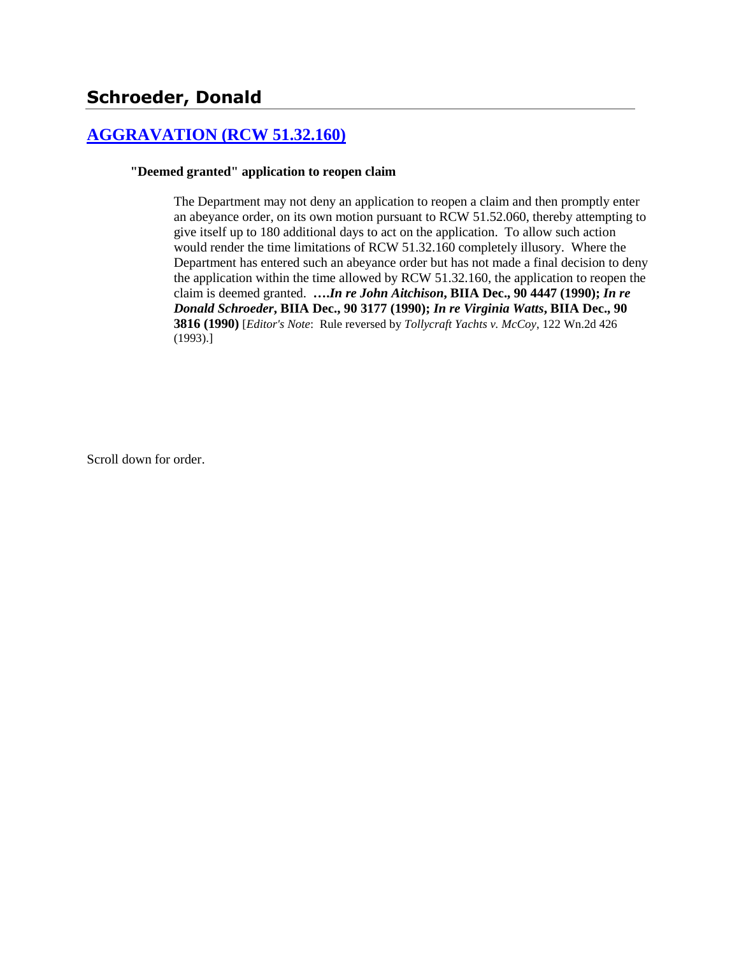# **[AGGRAVATION \(RCW 51.32.160\)](http://www.biia.wa.gov/SDSubjectIndex.html#AGGRAVATION)**

#### **"Deemed granted" application to reopen claim**

The Department may not deny an application to reopen a claim and then promptly enter an abeyance order, on its own motion pursuant to RCW 51.52.060, thereby attempting to give itself up to 180 additional days to act on the application. To allow such action would render the time limitations of RCW 51.32.160 completely illusory. Where the Department has entered such an abeyance order but has not made a final decision to deny the application within the time allowed by RCW 51.32.160, the application to reopen the claim is deemed granted. **….***In re John Aitchison***, BIIA Dec., 90 4447 (1990);** *In re Donald Schroeder***, BIIA Dec., 90 3177 (1990);** *In re Virginia Watts***, BIIA Dec., 90 3816 (1990)** [*Editor's Note*: Rule reversed by *Tollycraft Yachts v. McCoy*, 122 Wn.2d 426 (1993).]

Scroll down for order.